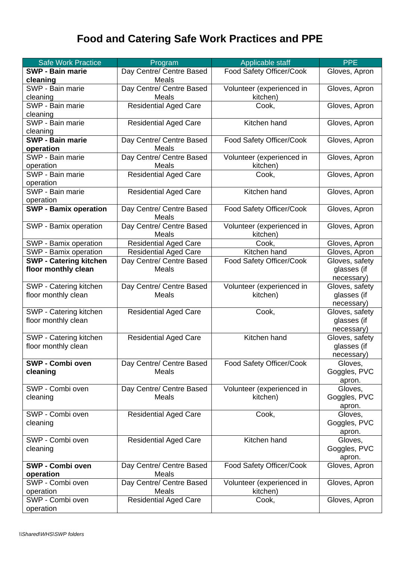## **Food and Catering Safe Work Practices and PPE**

| <b>Safe Work Practice</b>     | Program                                  | Applicable staff          | <b>PPE</b>              |
|-------------------------------|------------------------------------------|---------------------------|-------------------------|
| <b>SWP - Bain marie</b>       | Day Centre/ Centre Based                 | Food Safety Officer/Cook  | Gloves, Apron           |
| cleaning                      | <b>Meals</b>                             |                           |                         |
| SWP - Bain marie              | Day Centre/ Centre Based                 | Volunteer (experienced in | Gloves, Apron           |
| cleaning                      | <b>Meals</b>                             | kitchen)                  |                         |
| SWP - Bain marie              | <b>Residential Aged Care</b>             | Cook,                     | Gloves, Apron           |
| cleaning                      |                                          |                           |                         |
| SWP - Bain marie              | <b>Residential Aged Care</b>             | Kitchen hand              | Gloves, Apron           |
| cleaning                      |                                          |                           |                         |
| <b>SWP - Bain marie</b>       | Day Centre/ Centre Based                 | Food Safety Officer/Cook  | Gloves, Apron           |
| operation                     | Meals                                    |                           |                         |
| SWP - Bain marie              | Day Centre/ Centre Based                 | Volunteer (experienced in | Gloves, Apron           |
| operation                     | Meals                                    | kitchen)                  |                         |
| SWP - Bain marie              | <b>Residential Aged Care</b>             | Cook,                     | Gloves, Apron           |
| operation                     |                                          |                           |                         |
| SWP - Bain marie              | <b>Residential Aged Care</b>             | Kitchen hand              | Gloves, Apron           |
| operation                     |                                          |                           |                         |
| <b>SWP - Bamix operation</b>  | Day Centre/ Centre Based                 | Food Safety Officer/Cook  | Gloves, Apron           |
|                               | <b>Meals</b>                             |                           |                         |
| SWP - Bamix operation         | Day Centre/ Centre Based                 | Volunteer (experienced in | Gloves, Apron           |
|                               | <b>Meals</b>                             | kitchen)                  |                         |
| SWP - Bamix operation         | <b>Residential Aged Care</b>             | Cook,                     | Gloves, Apron           |
| SWP - Bamix operation         | <b>Residential Aged Care</b>             | Kitchen hand              | Gloves, Apron           |
| <b>SWP - Catering kitchen</b> | Day Centre/ Centre Based                 | Food Safety Officer/Cook  | Gloves, safety          |
| floor monthly clean           | <b>Meals</b>                             |                           | glasses (if             |
|                               |                                          |                           | necessary)              |
| SWP - Catering kitchen        | Day Centre/ Centre Based                 | Volunteer (experienced in | Gloves, safety          |
| floor monthly clean           | Meals                                    | kitchen)                  | glasses (if             |
|                               |                                          |                           | necessary)              |
| SWP - Catering kitchen        | <b>Residential Aged Care</b>             | Cook,                     | Gloves, safety          |
| floor monthly clean           |                                          |                           | glasses (if             |
|                               |                                          |                           | necessary)              |
| SWP - Catering kitchen        | <b>Residential Aged Care</b>             | Kitchen hand              | Gloves, safety          |
| floor monthly clean           |                                          |                           | glasses (if             |
|                               |                                          |                           | necessary)              |
| SWP - Combi oven              | Day Centre/ Centre Based                 | Food Safety Officer/Cook  | Gloves,                 |
| cleaning                      | <b>Meals</b>                             |                           | Goggles, PVC            |
| SWP - Combi oven              |                                          |                           | apron.                  |
|                               | Day Centre/ Centre Based<br><b>Meals</b> | Volunteer (experienced in | Gloves,                 |
| cleaning                      |                                          | kitchen)                  | Goggles, PVC            |
| SWP - Combi oven              | <b>Residential Aged Care</b>             | Cook,                     | apron.<br>Gloves,       |
| cleaning                      |                                          |                           | Goggles, PVC            |
|                               |                                          |                           | apron.                  |
| SWP - Combi oven              | <b>Residential Aged Care</b>             | Kitchen hand              | Gloves,                 |
| cleaning                      |                                          |                           | Goggles, PVC            |
|                               |                                          |                           |                         |
| <b>SWP - Combi oven</b>       | Day Centre/ Centre Based                 | Food Safety Officer/Cook  | apron.<br>Gloves, Apron |
| operation                     | <b>Meals</b>                             |                           |                         |
| SWP - Combi oven              | Day Centre/ Centre Based                 | Volunteer (experienced in | Gloves, Apron           |
| operation                     | <b>Meals</b>                             | kitchen)                  |                         |
| SWP - Combi oven              | <b>Residential Aged Care</b>             | Cook,                     | Gloves, Apron           |
| operation                     |                                          |                           |                         |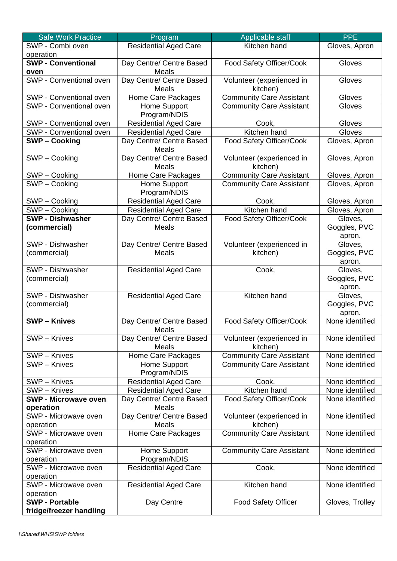| <b>Safe Work Practice</b>                        | Program                                  | Applicable staff                      | <b>PPE</b>                        |
|--------------------------------------------------|------------------------------------------|---------------------------------------|-----------------------------------|
| SWP - Combi oven                                 | <b>Residential Aged Care</b>             | Kitchen hand                          | Gloves, Apron                     |
| operation                                        |                                          |                                       |                                   |
| <b>SWP - Conventional</b>                        | Day Centre/ Centre Based                 | Food Safety Officer/Cook              | Gloves                            |
| oven                                             | Meals                                    |                                       |                                   |
| SWP - Conventional oven                          | Day Centre/ Centre Based<br><b>Meals</b> | Volunteer (experienced in<br>kitchen) | Gloves                            |
| SWP - Conventional oven                          | Home Care Packages                       | <b>Community Care Assistant</b>       | Gloves                            |
| SWP - Conventional oven                          | Home Support<br>Program/NDIS             | <b>Community Care Assistant</b>       | Gloves                            |
| SWP - Conventional oven                          | <b>Residential Aged Care</b>             | Cook,                                 | Gloves                            |
| SWP - Conventional oven                          | <b>Residential Aged Care</b>             | Kitchen hand                          | Gloves                            |
| <b>SWP-Cooking</b>                               | Day Centre/ Centre Based<br>Meals        | Food Safety Officer/Cook              | Gloves, Apron                     |
| SWP-Cooking                                      | Day Centre/ Centre Based<br>Meals        | Volunteer (experienced in<br>kitchen) | Gloves, Apron                     |
| SWP-Cooking                                      | Home Care Packages                       | <b>Community Care Assistant</b>       | Gloves, Apron                     |
| SWP - Cooking                                    | Home Support<br>Program/NDIS             | <b>Community Care Assistant</b>       | Gloves, Apron                     |
| SWP-Cooking                                      | <b>Residential Aged Care</b>             | Cook,                                 | Gloves, Apron                     |
| SWP-Cooking                                      | <b>Residential Aged Care</b>             | Kitchen hand                          | Gloves, Apron                     |
| <b>SWP - Dishwasher</b><br>(commercial)          | Day Centre/ Centre Based<br>Meals        | Food Safety Officer/Cook              | Gloves,<br>Goggles, PVC<br>apron. |
| SWP - Dishwasher                                 | Day Centre/ Centre Based                 | Volunteer (experienced in             | Gloves,                           |
| (commercial)                                     | <b>Meals</b>                             | kitchen)                              | Goggles, PVC<br>apron.            |
| SWP - Dishwasher                                 | <b>Residential Aged Care</b>             | Cook,                                 | Gloves,                           |
| (commercial)                                     |                                          |                                       | Goggles, PVC<br>apron.            |
| SWP - Dishwasher<br>(commercial)                 | <b>Residential Aged Care</b>             | Kitchen hand                          | Gloves,<br>Goggles, PVC<br>apron. |
| <b>SWP-Knives</b>                                | Day Centre/ Centre Based<br>Meals        | Food Safety Officer/Cook              | None identified                   |
| SWP - Knives                                     | Day Centre/ Centre Based<br>Meals        | Volunteer (experienced in<br>kitchen) | None identified                   |
| SWP - Knives                                     | Home Care Packages                       | <b>Community Care Assistant</b>       | None identified                   |
| SWP - Knives                                     | Home Support<br>Program/NDIS             | <b>Community Care Assistant</b>       | None identified                   |
| SWP - Knives                                     | <b>Residential Aged Care</b>             | Cook,                                 | None identified                   |
| SWP - Knives                                     | <b>Residential Aged Care</b>             | Kitchen hand                          | None identified                   |
| <b>SWP - Microwave oven</b><br>operation         | Day Centre/ Centre Based<br>Meals        | Food Safety Officer/Cook              | None identified                   |
| SWP - Microwave oven<br>operation                | Day Centre/ Centre Based<br>Meals        | Volunteer (experienced in<br>kitchen) | None identified                   |
| SWP - Microwave oven<br>operation                | Home Care Packages                       | <b>Community Care Assistant</b>       | None identified                   |
| SWP - Microwave oven<br>operation                | Home Support<br>Program/NDIS             | <b>Community Care Assistant</b>       | None identified                   |
| SWP - Microwave oven                             | <b>Residential Aged Care</b>             | Cook,                                 | None identified                   |
| operation<br>SWP - Microwave oven                | <b>Residential Aged Care</b>             | Kitchen hand                          | None identified                   |
| operation                                        |                                          |                                       |                                   |
| <b>SWP - Portable</b><br>fridge/freezer handling | Day Centre                               | <b>Food Safety Officer</b>            | Gloves, Trolley                   |
|                                                  |                                          |                                       |                                   |